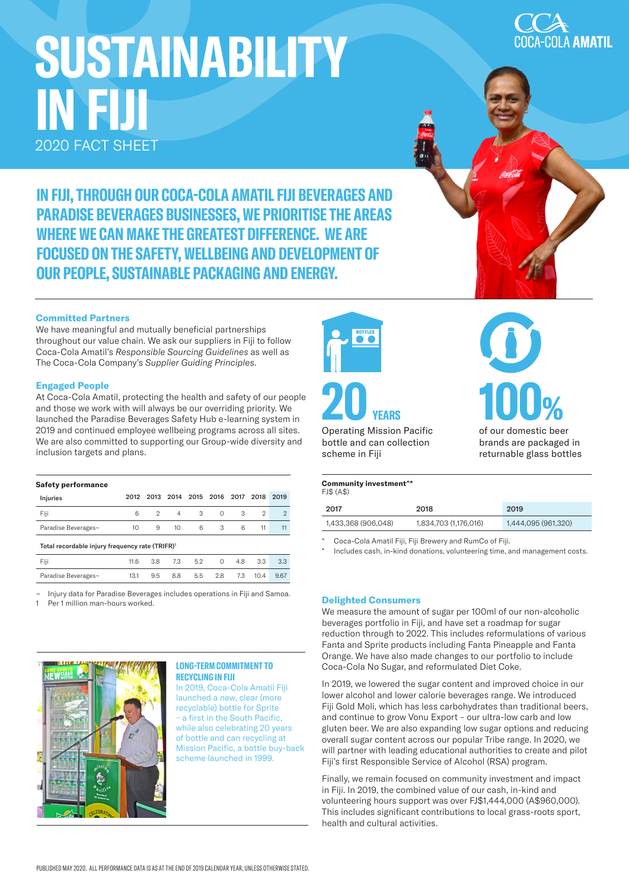# **SUSTAINABILITY IN FIJI** 2020 FACT SHEET

COLA AMATIL

**IN FIJI, THROUGH OUR COCA-COLA AMATIL FIJI BEVERAGES AND PARADISE BEVERAGES BUSINESSES, WE PRIORITISE THE AREAS WHERE WE CAN MAKE THE GREATEST DIFFERENCE. WE ARE FOCUSED ON THE SAFETY, WELLBEING AND DEVELOPMENT OF OUR PEOPLE, SUSTAINABLE PACKAGING AND ENERGY.**

# **Committed Partners**

We have meaningful and mutually beneficial partnerships throughout our value chain. We ask our suppliers in Fiji to follow Coca-Cola Amatil's *Responsible Sourcing Guidelines* as well as The Coca-Cola Company's *Supplier Guiding Principles*.

# **Engaged People**

At Coca-Cola Amatil, protecting the health and safety of our people and those we work with will always be our overriding priority. We launched the Paradise Beverages Safety Hub e-learning system in 2019 and continued employee wellbeing programs across all sites. We are also committed to supporting our Group-wide diversity and inclusion targets and plans.

# **Safety performance**

| Injuries                                                    | 2012 |     | 2013 2014       | 2015 2016 |          | 2017 | 2018 | 2019          |
|-------------------------------------------------------------|------|-----|-----------------|-----------|----------|------|------|---------------|
| Fiji                                                        | 6    | 2   | 4               | 3         | $\Omega$ | 3    | 2    | $\mathcal{P}$ |
| Paradise Beverages~                                         | 10   | 9   | 10 <sup>2</sup> | 6         | 3        | 6    | 11   | 11            |
| Total recordable injury frequency rate (TRIFR) <sup>1</sup> |      |     |                 |           |          |      |      |               |
| Fiji                                                        | 11.6 | 3.8 | 7.3             | 5.2       | $\Omega$ | 4.8  | 3.3  | 3.3           |
| Paradise Beverages~                                         | 13.1 | 9.5 | 8.8             | 5.5       | 2.8      | 7.3  | 10.4 | 9.67          |

~ Injury data for Paradise Beverages includes operations in Fiji and Samoa.

Per 1 million man-hours worked.



# **LONG-TERM COMMITMENT TO RECYCLING IN FIJI**

In 2019, Coca-Cola Amatil Fiji launched a new, clear (more recyclable) bottle for Sprite – a first in the South Pacific, while also celebrating 20 years of bottle and can recycling at Mission Pacific, a bottle buy-back scheme launched in 1999.



Operating Mission Pacific bottle and can collection scheme in Fiji

#### **Community investment^\***  FJ\$ (A\$)

| 2017                | 2018                  | 2019                |
|---------------------|-----------------------|---------------------|
| 1,433,368 (906,048) | 1,834,703 (1,176,016) | 1,444,095 (961,320) |

^ Coca-Cola Amatil Fiji, Fiji Brewery and RumCo of Fiji.

Includes cash, in-kind donations, volunteering time, and management costs.

**100%**

of our domestic beer brands are packaged in returnable glass bottles

# **Delighted Consumers**

We measure the amount of sugar per 100ml of our non-alcoholic beverages portfolio in Fiji, and have set a roadmap for sugar reduction through to 2022. This includes reformulations of various Fanta and Sprite products including Fanta Pineapple and Fanta Orange. We have also made changes to our portfolio to include Coca-Cola No Sugar, and reformulated Diet Coke.

In 2019, we lowered the sugar content and improved choice in our lower alcohol and lower calorie beverages range. We introduced Fiji Gold Moli, which has less carbohydrates than traditional beers, and continue to grow Vonu Export – our ultra-low carb and low gluten beer. We are also expanding low sugar options and reducing overall sugar content across our popular Tribe range. In 2020, we will partner with leading educational authorities to create and pilot Fiji's first Responsible Service of Alcohol (RSA) program.

Finally, we remain focused on community investment and impact in Fiji. In 2019, the combined value of our cash, in-kind and volunteering hours support was over FJ\$1,444,000 (A\$960,000). This includes significant contributions to local grass-roots sport, health and cultural activities.